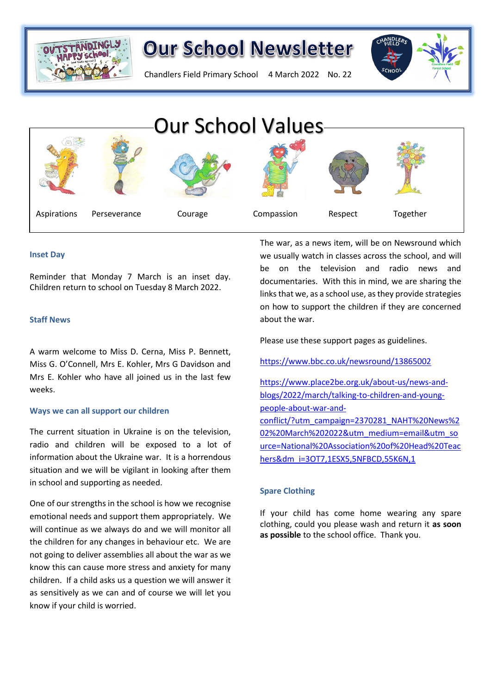

# **Our School Newsletter**

Chandlers Field Primary School 4 March 2022 No. 22





### **Inset Day**

Reminder that Monday 7 March is an inset day. Children return to school on Tuesday 8 March 2022.

### **Staff News**

A warm welcome to Miss D. Cerna, Miss P. Bennett, Miss G. O'Connell, Mrs E. Kohler, Mrs G Davidson and Mrs E. Kohler who have all joined us in the last few weeks.

#### **Ways we can all support our children**

The current situation in Ukraine is on the television, radio and children will be exposed to a lot of information about the Ukraine war. It is a horrendous situation and we will be vigilant in looking after them in school and supporting as needed.

One of our strengths in the school is how we recognise emotional needs and support them appropriately. We will continue as we always do and we will monitor all the children for any changes in behaviour etc. We are not going to deliver assemblies all about the war as we know this can cause more stress and anxiety for many children. If a child asks us a question we will answer it as sensitively as we can and of course we will let you know if your child is worried.

The war, as a news item, will be on Newsround which we usually watch in classes across the school, and will be on the television and radio news and documentaries. With this in mind, we are sharing the links that we, as a school use, as they provide strategies on how to support the children if they are concerned about the war.

Please use these support pages as guidelines.

<https://www.bbc.co.uk/newsround/13865002>

[https://www.place2be.org.uk/about-us/news-and](https://www.place2be.org.uk/about-us/news-and-blogs/2022/march/talking-to-children-and-young-people-about-war-and-conflict/?utm_campaign=2370281_NAHT%20News%202%20March%202022&utm_medium=email&utm_source=National%20Association%20of%20Head%20Teachers&dm_i=3OT7,1ESX5,5NFBCD,55K6N,1)[blogs/2022/march/talking-to-children-and-young](https://www.place2be.org.uk/about-us/news-and-blogs/2022/march/talking-to-children-and-young-people-about-war-and-conflict/?utm_campaign=2370281_NAHT%20News%202%20March%202022&utm_medium=email&utm_source=National%20Association%20of%20Head%20Teachers&dm_i=3OT7,1ESX5,5NFBCD,55K6N,1)[people-about-war-and](https://www.place2be.org.uk/about-us/news-and-blogs/2022/march/talking-to-children-and-young-people-about-war-and-conflict/?utm_campaign=2370281_NAHT%20News%202%20March%202022&utm_medium=email&utm_source=National%20Association%20of%20Head%20Teachers&dm_i=3OT7,1ESX5,5NFBCD,55K6N,1)[conflict/?utm\\_campaign=2370281\\_NAHT%20News%2](https://www.place2be.org.uk/about-us/news-and-blogs/2022/march/talking-to-children-and-young-people-about-war-and-conflict/?utm_campaign=2370281_NAHT%20News%202%20March%202022&utm_medium=email&utm_source=National%20Association%20of%20Head%20Teachers&dm_i=3OT7,1ESX5,5NFBCD,55K6N,1) [02%20March%202022&utm\\_medium=email&utm\\_so](https://www.place2be.org.uk/about-us/news-and-blogs/2022/march/talking-to-children-and-young-people-about-war-and-conflict/?utm_campaign=2370281_NAHT%20News%202%20March%202022&utm_medium=email&utm_source=National%20Association%20of%20Head%20Teachers&dm_i=3OT7,1ESX5,5NFBCD,55K6N,1)

[urce=National%20Association%20of%20Head%20Teac](https://www.place2be.org.uk/about-us/news-and-blogs/2022/march/talking-to-children-and-young-people-about-war-and-conflict/?utm_campaign=2370281_NAHT%20News%202%20March%202022&utm_medium=email&utm_source=National%20Association%20of%20Head%20Teachers&dm_i=3OT7,1ESX5,5NFBCD,55K6N,1) [hers&dm\\_i=3OT7,1ESX5,5NFBCD,55K6N,1](https://www.place2be.org.uk/about-us/news-and-blogs/2022/march/talking-to-children-and-young-people-about-war-and-conflict/?utm_campaign=2370281_NAHT%20News%202%20March%202022&utm_medium=email&utm_source=National%20Association%20of%20Head%20Teachers&dm_i=3OT7,1ESX5,5NFBCD,55K6N,1)

### **Spare Clothing**

If your child has come home wearing any spare clothing, could you please wash and return it **as soon as possible** to the school office. Thank you.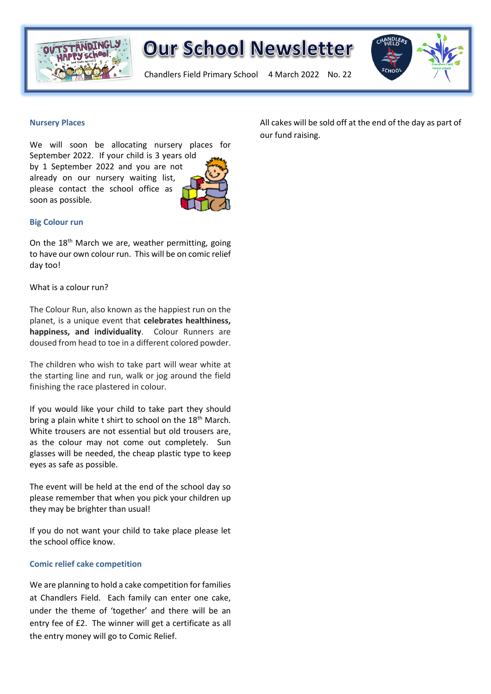

# **Our School Newsletter**

Chandlers Field Primary School 4 March 2022 No. 22



#### **Nursery Places**

We will soon be allocating nursery places for September 2022. If your child is 3 years old by 1 September 2022 and you are not already on our nursery waiting list, please contact the school office as soon as possible.



#### **Big Colour run**

On the 18<sup>th</sup> March we are, weather permitting, going to have our own colour run. This will be on comic relief day too!

What is a colour run?

The Colour Run, also known as the happiest run on the planet, is a unique event that **celebrates healthiness, happiness, and individuality**. Colour Runners are doused from head to toe in a different colored powder.

The children who wish to take part will wear white at the starting line and run, walk or jog around the field finishing the race plastered in colour.

If you would like your child to take part they should bring a plain white t shirt to school on the 18<sup>th</sup> March. White trousers are not essential but old trousers are, as the colour may not come out completely. Sun glasses will be needed, the cheap plastic type to keep eyes as safe as possible.

The event will be held at the end of the school day so please remember that when you pick your children up they may be brighter than usual!

If you do not want your child to take place please let the school office know.

#### **Comic relief cake competition**

We are planning to hold a cake competition for families at Chandlers Field. Each family can enter one cake, under the theme of 'together' and there will be an entry fee of £2. The winner will get a certificate as all the entry money will go to Comic Relief.

All cakes will be sold off at the end of the day as part of our fund raising.